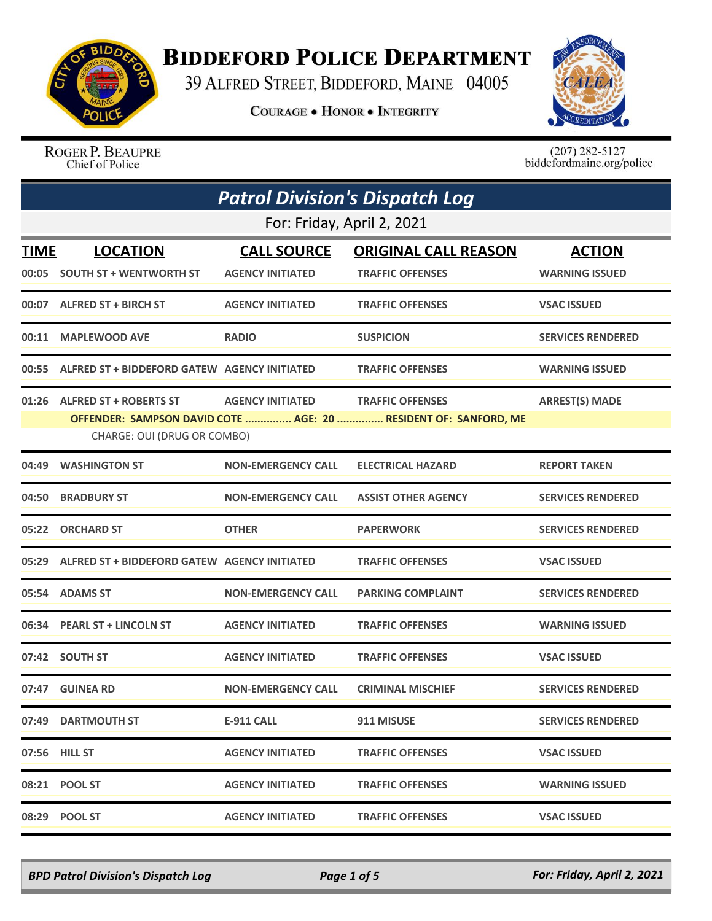

## **BIDDEFORD POLICE DEPARTMENT**

39 ALFRED STREET, BIDDEFORD, MAINE 04005

**COURAGE . HONOR . INTEGRITY** 



ROGER P. BEAUPRE Chief of Police

 $(207)$  282-5127<br>biddefordmaine.org/police

| <b>Patrol Division's Dispatch Log</b> |                                                    |                           |                                                                                            |                          |  |
|---------------------------------------|----------------------------------------------------|---------------------------|--------------------------------------------------------------------------------------------|--------------------------|--|
|                                       | For: Friday, April 2, 2021                         |                           |                                                                                            |                          |  |
| <b>TIME</b>                           | <b>LOCATION</b>                                    | <b>CALL SOURCE</b>        | <b>ORIGINAL CALL REASON</b>                                                                | <b>ACTION</b>            |  |
| 00:05                                 | <b>SOUTH ST + WENTWORTH ST</b>                     | <b>AGENCY INITIATED</b>   | <b>TRAFFIC OFFENSES</b>                                                                    | <b>WARNING ISSUED</b>    |  |
|                                       | 00:07 ALFRED ST + BIRCH ST                         | <b>AGENCY INITIATED</b>   | <b>TRAFFIC OFFENSES</b>                                                                    | <b>VSAC ISSUED</b>       |  |
| 00:11                                 | <b>MAPLEWOOD AVE</b>                               | <b>RADIO</b>              | <b>SUSPICION</b>                                                                           | <b>SERVICES RENDERED</b> |  |
|                                       | 00:55 ALFRED ST + BIDDEFORD GATEW AGENCY INITIATED |                           | <b>TRAFFIC OFFENSES</b>                                                                    | <b>WARNING ISSUED</b>    |  |
|                                       | 01:26 ALFRED ST + ROBERTS ST                       | <b>AGENCY INITIATED</b>   | <b>TRAFFIC OFFENSES</b><br>OFFENDER: SAMPSON DAVID COTE  AGE: 20  RESIDENT OF: SANFORD, ME | <b>ARREST(S) MADE</b>    |  |
|                                       | CHARGE: OUI (DRUG OR COMBO)                        |                           |                                                                                            |                          |  |
| 04:49                                 | <b>WASHINGTON ST</b>                               | <b>NON-EMERGENCY CALL</b> | <b>ELECTRICAL HAZARD</b>                                                                   | <b>REPORT TAKEN</b>      |  |
| 04:50                                 | <b>BRADBURY ST</b>                                 | <b>NON-EMERGENCY CALL</b> | <b>ASSIST OTHER AGENCY</b>                                                                 | <b>SERVICES RENDERED</b> |  |
|                                       | 05:22 ORCHARD ST                                   | <b>OTHER</b>              | <b>PAPERWORK</b>                                                                           | <b>SERVICES RENDERED</b> |  |
| 05:29                                 | ALFRED ST + BIDDEFORD GATEW AGENCY INITIATED       |                           | <b>TRAFFIC OFFENSES</b>                                                                    | <b>VSAC ISSUED</b>       |  |
| 05:54                                 | <b>ADAMS ST</b>                                    | <b>NON-EMERGENCY CALL</b> | <b>PARKING COMPLAINT</b>                                                                   | <b>SERVICES RENDERED</b> |  |
|                                       | 06:34 PEARL ST + LINCOLN ST                        | <b>AGENCY INITIATED</b>   | <b>TRAFFIC OFFENSES</b>                                                                    | <b>WARNING ISSUED</b>    |  |
| 07:42                                 | <b>SOUTH ST</b>                                    | <b>AGENCY INITIATED</b>   | <b>TRAFFIC OFFENSES</b>                                                                    | <b>VSAC ISSUED</b>       |  |
| 07:47                                 | <b>GUINEA RD</b>                                   | <b>NON-EMERGENCY CALL</b> | <b>CRIMINAL MISCHIEF</b>                                                                   | <b>SERVICES RENDERED</b> |  |
|                                       | 07:49 DARTMOUTH ST                                 | <b>E-911 CALL</b>         | 911 MISUSE                                                                                 | <b>SERVICES RENDERED</b> |  |
|                                       | 07:56 HILL ST                                      | <b>AGENCY INITIATED</b>   | <b>TRAFFIC OFFENSES</b>                                                                    | <b>VSAC ISSUED</b>       |  |
|                                       | 08:21 POOL ST                                      | <b>AGENCY INITIATED</b>   | <b>TRAFFIC OFFENSES</b>                                                                    | <b>WARNING ISSUED</b>    |  |
|                                       | 08:29 POOL ST                                      | <b>AGENCY INITIATED</b>   | <b>TRAFFIC OFFENSES</b>                                                                    | <b>VSAC ISSUED</b>       |  |

*BPD Patrol Division's Dispatch Log Page 1 of 5 For: Friday, April 2, 2021*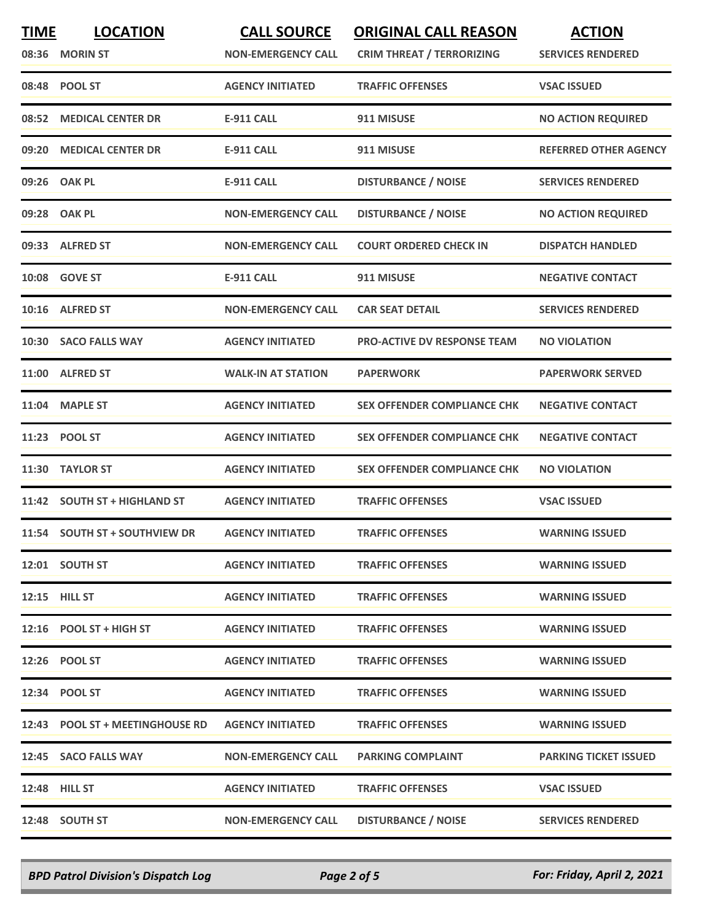| <b>TIME</b> | <b>LOCATION</b><br>08:36 MORIN ST | <b>CALL SOURCE</b><br><b>NON-EMERGENCY CALL</b> | <b>ORIGINAL CALL REASON</b><br><b>CRIM THREAT / TERRORIZING</b> | <b>ACTION</b><br><b>SERVICES RENDERED</b> |
|-------------|-----------------------------------|-------------------------------------------------|-----------------------------------------------------------------|-------------------------------------------|
|             | 08:48 POOL ST                     | <b>AGENCY INITIATED</b>                         | <b>TRAFFIC OFFENSES</b>                                         | <b>VSAC ISSUED</b>                        |
| 08:52       | <b>MEDICAL CENTER DR</b>          | <b>E-911 CALL</b>                               | 911 MISUSE                                                      | <b>NO ACTION REQUIRED</b>                 |
| 09:20       | <b>MEDICAL CENTER DR</b>          | <b>E-911 CALL</b>                               | 911 MISUSE                                                      | <b>REFERRED OTHER AGENCY</b>              |
|             | 09:26 OAK PL                      | <b>E-911 CALL</b>                               | <b>DISTURBANCE / NOISE</b>                                      | <b>SERVICES RENDERED</b>                  |
|             | 09:28 OAK PL                      | <b>NON-EMERGENCY CALL</b>                       | <b>DISTURBANCE / NOISE</b>                                      | <b>NO ACTION REQUIRED</b>                 |
| 09:33       | <b>ALFRED ST</b>                  | <b>NON-EMERGENCY CALL</b>                       | <b>COURT ORDERED CHECK IN</b>                                   | <b>DISPATCH HANDLED</b>                   |
|             | 10:08 GOVE ST                     | <b>E-911 CALL</b>                               | 911 MISUSE                                                      | <b>NEGATIVE CONTACT</b>                   |
|             | 10:16 ALFRED ST                   | <b>NON-EMERGENCY CALL</b>                       | <b>CAR SEAT DETAIL</b>                                          | <b>SERVICES RENDERED</b>                  |
| 10:30       | <b>SACO FALLS WAY</b>             | <b>AGENCY INITIATED</b>                         | <b>PRO-ACTIVE DV RESPONSE TEAM</b>                              | <b>NO VIOLATION</b>                       |
|             | 11:00 ALFRED ST                   | <b>WALK-IN AT STATION</b>                       | <b>PAPERWORK</b>                                                | <b>PAPERWORK SERVED</b>                   |
| 11:04       | <b>MAPLE ST</b>                   | <b>AGENCY INITIATED</b>                         | <b>SEX OFFENDER COMPLIANCE CHK</b>                              | <b>NEGATIVE CONTACT</b>                   |
|             | 11:23 POOL ST                     | <b>AGENCY INITIATED</b>                         | <b>SEX OFFENDER COMPLIANCE CHK</b>                              | <b>NEGATIVE CONTACT</b>                   |
| 11:30       | <b>TAYLOR ST</b>                  | <b>AGENCY INITIATED</b>                         | <b>SEX OFFENDER COMPLIANCE CHK</b>                              | <b>NO VIOLATION</b>                       |
|             | 11:42 SOUTH ST + HIGHLAND ST      | <b>AGENCY INITIATED</b>                         | <b>TRAFFIC OFFENSES</b>                                         | <b>VSAC ISSUED</b>                        |
|             | 11:54 SOUTH ST + SOUTHVIEW DR     | <b>AGENCY INITIATED</b>                         | <b>TRAFFIC OFFENSES</b>                                         | <b>WARNING ISSUED</b>                     |
|             | 12:01 SOUTH ST                    | <b>AGENCY INITIATED</b>                         | <b>TRAFFIC OFFENSES</b>                                         | <b>WARNING ISSUED</b>                     |
|             | 12:15 HILL ST                     | <b>AGENCY INITIATED</b>                         | <b>TRAFFIC OFFENSES</b>                                         | <b>WARNING ISSUED</b>                     |
|             | $12:16$ POOL ST + HIGH ST         | <b>AGENCY INITIATED</b>                         | <b>TRAFFIC OFFENSES</b>                                         | <b>WARNING ISSUED</b>                     |
|             | 12:26 POOL ST                     | <b>AGENCY INITIATED</b>                         | <b>TRAFFIC OFFENSES</b>                                         | <b>WARNING ISSUED</b>                     |
|             | 12:34 POOL ST                     | <b>AGENCY INITIATED</b>                         | <b>TRAFFIC OFFENSES</b>                                         | <b>WARNING ISSUED</b>                     |
|             | 12:43 POOL ST + MEETINGHOUSE RD   | <b>AGENCY INITIATED</b>                         | <b>TRAFFIC OFFENSES</b>                                         | <b>WARNING ISSUED</b>                     |
|             | 12:45 SACO FALLS WAY              | <b>NON-EMERGENCY CALL</b>                       | <b>PARKING COMPLAINT</b>                                        | <b>PARKING TICKET ISSUED</b>              |
|             | <b>12:48 HILL ST</b>              | <b>AGENCY INITIATED</b>                         | <b>TRAFFIC OFFENSES</b>                                         | <b>VSAC ISSUED</b>                        |
|             | 12:48 SOUTH ST                    | <b>NON-EMERGENCY CALL</b>                       | <b>DISTURBANCE / NOISE</b>                                      | <b>SERVICES RENDERED</b>                  |

*BPD Patrol Division's Dispatch Log Page 2 of 5 For: Friday, April 2, 2021*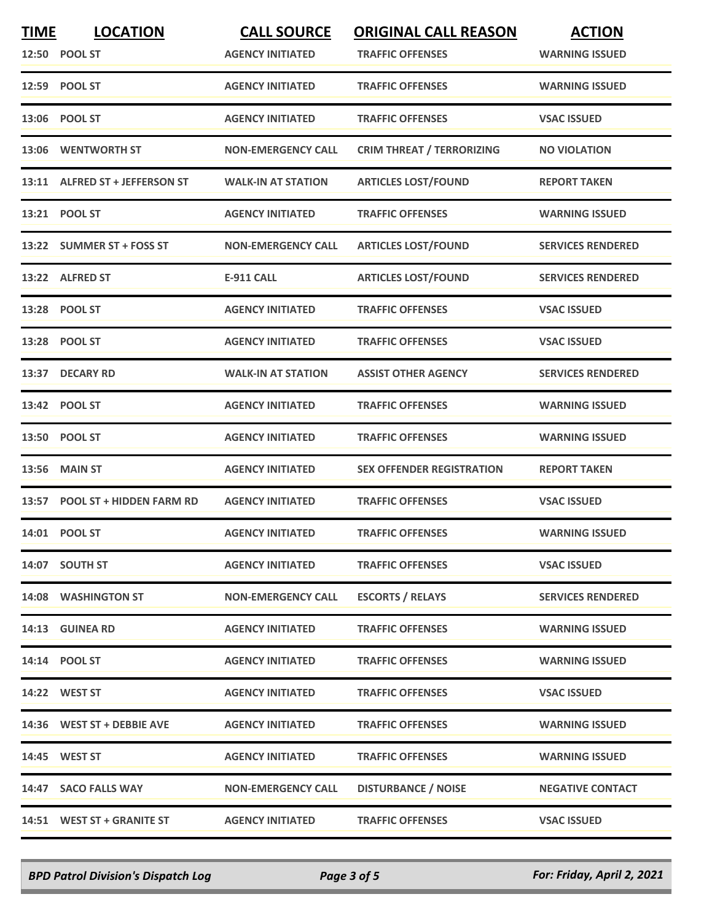| <b>TIME</b> | <b>LOCATION</b><br>12:50 POOL ST | <b>CALL SOURCE</b><br><b>AGENCY INITIATED</b> | <b>ORIGINAL CALL REASON</b><br><b>TRAFFIC OFFENSES</b> | <b>ACTION</b><br><b>WARNING ISSUED</b> |
|-------------|----------------------------------|-----------------------------------------------|--------------------------------------------------------|----------------------------------------|
|             | 12:59 POOL ST                    | <b>AGENCY INITIATED</b>                       | <b>TRAFFIC OFFENSES</b>                                | <b>WARNING ISSUED</b>                  |
|             | 13:06 POOL ST                    | <b>AGENCY INITIATED</b>                       | <b>TRAFFIC OFFENSES</b>                                | <b>VSAC ISSUED</b>                     |
| 13:06       | <b>WENTWORTH ST</b>              | <b>NON-EMERGENCY CALL</b>                     | <b>CRIM THREAT / TERRORIZING</b>                       | <b>NO VIOLATION</b>                    |
|             | 13:11 ALFRED ST + JEFFERSON ST   | <b>WALK-IN AT STATION</b>                     | <b>ARTICLES LOST/FOUND</b>                             | <b>REPORT TAKEN</b>                    |
|             | 13:21 POOL ST                    | <b>AGENCY INITIATED</b>                       | <b>TRAFFIC OFFENSES</b>                                | <b>WARNING ISSUED</b>                  |
|             | 13:22 SUMMER ST + FOSS ST        | <b>NON-EMERGENCY CALL</b>                     | <b>ARTICLES LOST/FOUND</b>                             | <b>SERVICES RENDERED</b>               |
|             | 13:22 ALFRED ST                  | <b>E-911 CALL</b>                             | <b>ARTICLES LOST/FOUND</b>                             | <b>SERVICES RENDERED</b>               |
|             | 13:28 POOL ST                    | <b>AGENCY INITIATED</b>                       | <b>TRAFFIC OFFENSES</b>                                | <b>VSAC ISSUED</b>                     |
|             | 13:28 POOL ST                    | <b>AGENCY INITIATED</b>                       | <b>TRAFFIC OFFENSES</b>                                | <b>VSAC ISSUED</b>                     |
|             | 13:37 DECARY RD                  | <b>WALK-IN AT STATION</b>                     | <b>ASSIST OTHER AGENCY</b>                             | <b>SERVICES RENDERED</b>               |
|             | 13:42 POOL ST                    | <b>AGENCY INITIATED</b>                       | <b>TRAFFIC OFFENSES</b>                                | <b>WARNING ISSUED</b>                  |
|             | 13:50 POOL ST                    | <b>AGENCY INITIATED</b>                       | <b>TRAFFIC OFFENSES</b>                                | <b>WARNING ISSUED</b>                  |
| 13:56       | <b>MAIN ST</b>                   | <b>AGENCY INITIATED</b>                       | <b>SEX OFFENDER REGISTRATION</b>                       | <b>REPORT TAKEN</b>                    |
|             | 13:57 POOL ST + HIDDEN FARM RD   | <b>AGENCY INITIATED</b>                       | <b>TRAFFIC OFFENSES</b>                                | <b>VSAC ISSUED</b>                     |
|             | 14:01 POOL ST                    | <b>AGENCY INITIATED</b>                       | <b>TRAFFIC OFFENSES</b>                                | <b>WARNING ISSUED</b>                  |
|             | 14:07 SOUTH ST                   | <b>AGENCY INITIATED</b>                       | <b>TRAFFIC OFFENSES</b>                                | <b>VSAC ISSUED</b>                     |
|             | 14:08 WASHINGTON ST              | <b>NON-EMERGENCY CALL</b>                     | <b>ESCORTS / RELAYS</b>                                | <b>SERVICES RENDERED</b>               |
|             | 14:13 GUINEA RD                  | <b>AGENCY INITIATED</b>                       | <b>TRAFFIC OFFENSES</b>                                | <b>WARNING ISSUED</b>                  |
|             | 14:14 POOL ST                    | <b>AGENCY INITIATED</b>                       | <b>TRAFFIC OFFENSES</b>                                | <b>WARNING ISSUED</b>                  |
|             | 14:22 WEST ST                    | <b>AGENCY INITIATED</b>                       | <b>TRAFFIC OFFENSES</b>                                | <b>VSAC ISSUED</b>                     |
|             | 14:36 WEST ST + DEBBIE AVE       | <b>AGENCY INITIATED</b>                       | <b>TRAFFIC OFFENSES</b>                                | <b>WARNING ISSUED</b>                  |
|             | 14:45 WEST ST                    | <b>AGENCY INITIATED</b>                       | <b>TRAFFIC OFFENSES</b>                                | <b>WARNING ISSUED</b>                  |
|             | 14:47 SACO FALLS WAY             | <b>NON-EMERGENCY CALL</b>                     | <b>DISTURBANCE / NOISE</b>                             | <b>NEGATIVE CONTACT</b>                |
|             | 14:51 WEST ST + GRANITE ST       | <b>AGENCY INITIATED</b>                       | <b>TRAFFIC OFFENSES</b>                                | <b>VSAC ISSUED</b>                     |

*BPD Patrol Division's Dispatch Log Page 3 of 5 For: Friday, April 2, 2021*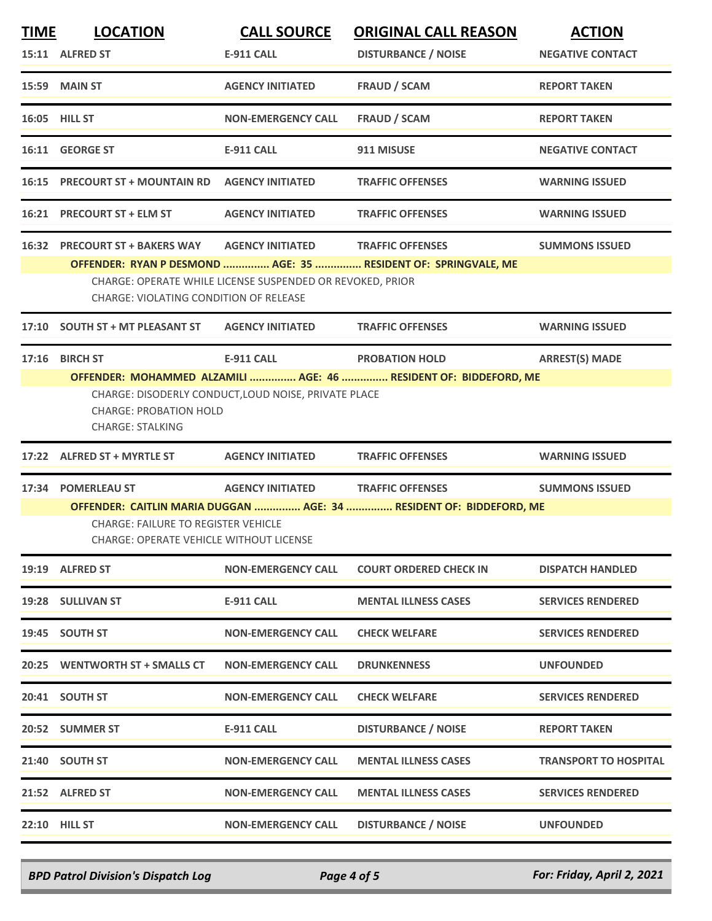| <b>TIME</b> | <b>LOCATION</b>                                                                              | <b>CALL SOURCE</b>                                        | <b>ORIGINAL CALL REASON</b>                                         | <b>ACTION</b>                |
|-------------|----------------------------------------------------------------------------------------------|-----------------------------------------------------------|---------------------------------------------------------------------|------------------------------|
|             | 15:11 ALFRED ST                                                                              | <b>E-911 CALL</b>                                         | <b>DISTURBANCE / NOISE</b>                                          | <b>NEGATIVE CONTACT</b>      |
|             | 15:59 MAIN ST                                                                                | <b>AGENCY INITIATED</b>                                   | <b>FRAUD / SCAM</b>                                                 | <b>REPORT TAKEN</b>          |
|             | 16:05 HILL ST                                                                                | <b>NON-EMERGENCY CALL</b>                                 | <b>FRAUD / SCAM</b>                                                 | <b>REPORT TAKEN</b>          |
|             | 16:11 GEORGE ST                                                                              | E-911 CALL                                                | 911 MISUSE                                                          | <b>NEGATIVE CONTACT</b>      |
|             | 16:15 PRECOURT ST + MOUNTAIN RD                                                              | <b>AGENCY INITIATED</b>                                   | <b>TRAFFIC OFFENSES</b>                                             | <b>WARNING ISSUED</b>        |
|             | 16:21 PRECOURT ST + ELM ST                                                                   | <b>AGENCY INITIATED</b>                                   | <b>TRAFFIC OFFENSES</b>                                             | <b>WARNING ISSUED</b>        |
|             | 16:32 PRECOURT ST + BAKERS WAY                                                               | <b>AGENCY INITIATED</b>                                   | <b>TRAFFIC OFFENSES</b>                                             | <b>SUMMONS ISSUED</b>        |
|             |                                                                                              |                                                           | OFFENDER: RYAN P DESMOND  AGE: 35  RESIDENT OF: SPRINGVALE, ME      |                              |
|             | CHARGE: VIOLATING CONDITION OF RELEASE                                                       | CHARGE: OPERATE WHILE LICENSE SUSPENDED OR REVOKED, PRIOR |                                                                     |                              |
|             | 17:10 SOUTH ST + MT PLEASANT ST                                                              | <b>AGENCY INITIATED</b>                                   | <b>TRAFFIC OFFENSES</b>                                             | <b>WARNING ISSUED</b>        |
| 17:16       | <b>BIRCH ST</b>                                                                              | <b>E-911 CALL</b>                                         | <b>PROBATION HOLD</b>                                               | <b>ARREST(S) MADE</b>        |
|             |                                                                                              |                                                           | OFFENDER: MOHAMMED ALZAMILI  AGE: 46  RESIDENT OF: BIDDEFORD, ME    |                              |
|             |                                                                                              | CHARGE: DISODERLY CONDUCT, LOUD NOISE, PRIVATE PLACE      |                                                                     |                              |
|             | <b>CHARGE: PROBATION HOLD</b>                                                                |                                                           |                                                                     |                              |
|             | <b>CHARGE: STALKING</b>                                                                      |                                                           |                                                                     |                              |
|             | 17:22 ALFRED ST + MYRTLE ST                                                                  | <b>AGENCY INITIATED</b>                                   | <b>TRAFFIC OFFENSES</b>                                             | <b>WARNING ISSUED</b>        |
|             | 17:34 POMERLEAU ST                                                                           | AGENCY INITIATED TRAFFIC OFFENSES                         |                                                                     | <b>SUMMONS ISSUED</b>        |
|             |                                                                                              |                                                           | OFFENDER: CAITLIN MARIA DUGGAN  AGE: 34  RESIDENT OF: BIDDEFORD, ME |                              |
|             | <b>CHARGE: FAILURE TO REGISTER VEHICLE</b><br><b>CHARGE: OPERATE VEHICLE WITHOUT LICENSE</b> |                                                           |                                                                     |                              |
|             | 19:19 ALFRED ST                                                                              | NON-EMERGENCY CALL                                        | <b>COURT ORDERED CHECK IN</b>                                       | <b>DISPATCH HANDLED</b>      |
|             | 19:28 SULLIVAN ST                                                                            | <b>E-911 CALL</b>                                         | <b>MENTAL ILLNESS CASES</b>                                         | <b>SERVICES RENDERED</b>     |
|             | 19:45 SOUTH ST                                                                               | <b>NON-EMERGENCY CALL</b>                                 | <b>CHECK WELFARE</b>                                                | <b>SERVICES RENDERED</b>     |
|             | 20:25 WENTWORTH ST + SMALLS CT                                                               | <b>NON-EMERGENCY CALL</b>                                 | <b>DRUNKENNESS</b>                                                  | <b>UNFOUNDED</b>             |
|             | 20:41 SOUTH ST                                                                               | <b>NON-EMERGENCY CALL</b>                                 | <b>CHECK WELFARE</b>                                                | <b>SERVICES RENDERED</b>     |
|             | 20:52 SUMMER ST                                                                              | <b>E-911 CALL</b>                                         | <b>DISTURBANCE / NOISE</b>                                          | <b>REPORT TAKEN</b>          |
|             | 21:40 SOUTH ST                                                                               | <b>NON-EMERGENCY CALL</b>                                 | <b>MENTAL ILLNESS CASES</b>                                         | <b>TRANSPORT TO HOSPITAL</b> |
|             | 21:52 ALFRED ST                                                                              | NON-EMERGENCY CALL                                        | <b>MENTAL ILLNESS CASES</b>                                         | <b>SERVICES RENDERED</b>     |
|             | <b>22:10 HILL ST</b>                                                                         | <b>NON-EMERGENCY CALL</b>                                 | <b>DISTURBANCE / NOISE</b>                                          | <b>UNFOUNDED</b>             |
|             |                                                                                              |                                                           |                                                                     |                              |

*BPD Patrol Division's Dispatch Log Page 4 of 5 For: Friday, April 2, 2021*